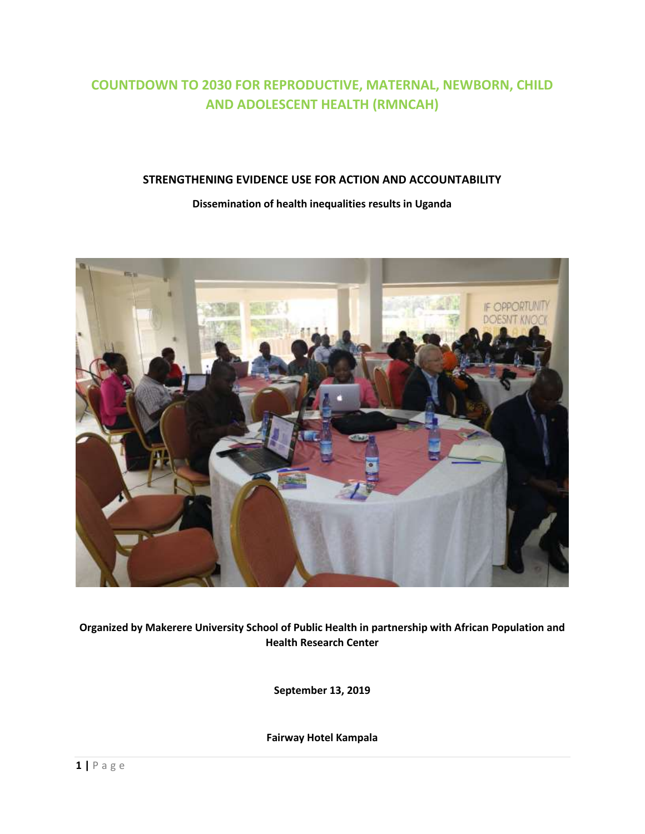# **COUNTDOWN TO 2030 FOR REPRODUCTIVE, MATERNAL, NEWBORN, CHILD AND ADOLESCENT HEALTH (RMNCAH)**

# **STRENGTHENING EVIDENCE USE FOR ACTION AND ACCOUNTABILITY**

#### **Dissemination of health inequalities results in Uganda**

<span id="page-0-0"></span>

**Organized by Makerere University School of Public Health in partnership with African Population and Health Research Center** 

**September 13, 2019**

**Fairway Hotel Kampala**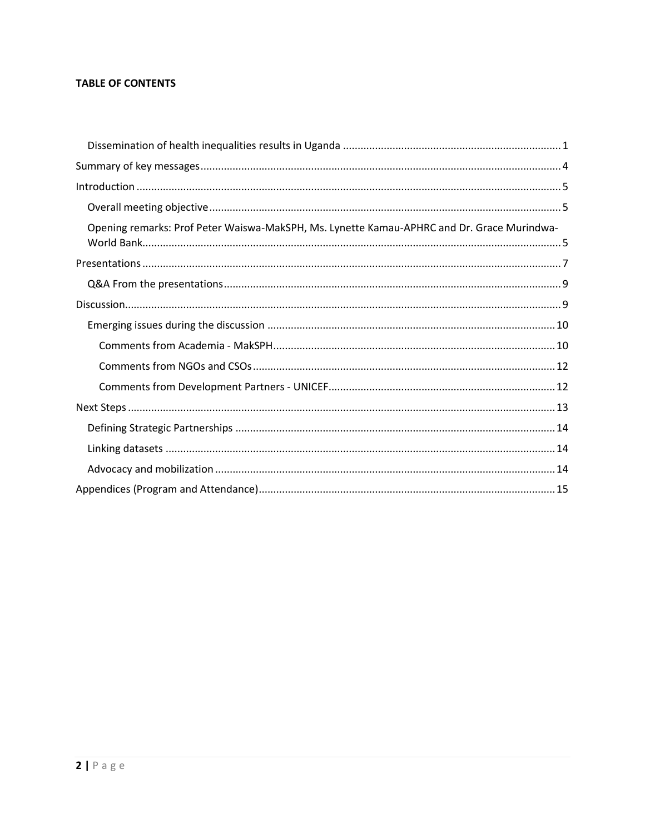# **TABLE OF CONTENTS**

| Opening remarks: Prof Peter Waiswa-MakSPH, Ms. Lynette Kamau-APHRC and Dr. Grace Murindwa- |  |
|--------------------------------------------------------------------------------------------|--|
|                                                                                            |  |
|                                                                                            |  |
|                                                                                            |  |
|                                                                                            |  |
|                                                                                            |  |
|                                                                                            |  |
|                                                                                            |  |
|                                                                                            |  |
|                                                                                            |  |
|                                                                                            |  |
|                                                                                            |  |
|                                                                                            |  |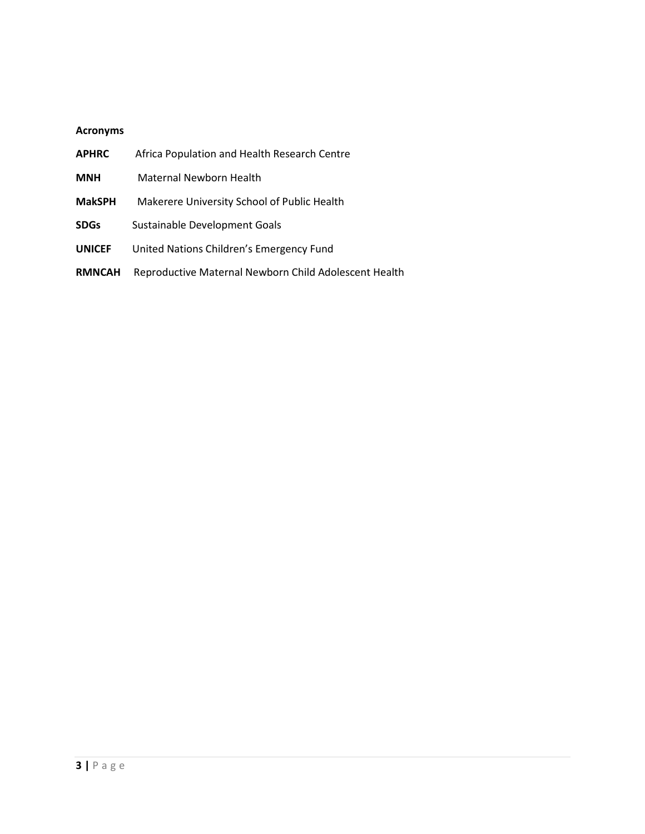# **Acronyms**

| <b>APHRC</b>  | Africa Population and Health Research Centre          |  |  |
|---------------|-------------------------------------------------------|--|--|
| <b>MNH</b>    | Maternal Newborn Health                               |  |  |
| <b>MakSPH</b> | Makerere University School of Public Health           |  |  |
| <b>SDGs</b>   | Sustainable Development Goals                         |  |  |
| <b>UNICEF</b> | United Nations Children's Emergency Fund              |  |  |
| <b>RMNCAH</b> | Reproductive Maternal Newborn Child Adolescent Health |  |  |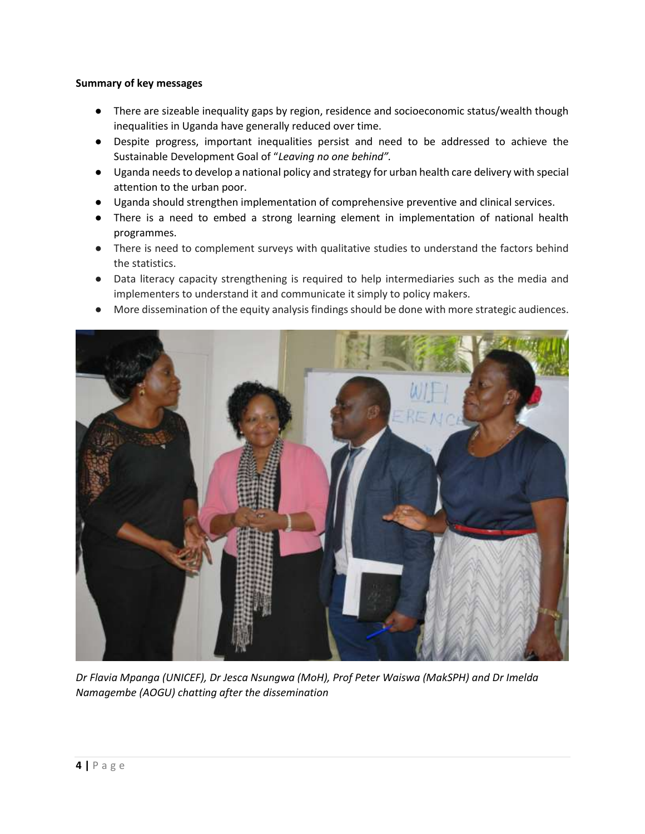# <span id="page-3-0"></span>**Summary of key messages**

- There are sizeable inequality gaps by region, residence and socioeconomic status/wealth though inequalities in Uganda have generally reduced over time.
- Despite progress, important inequalities persist and need to be addressed to achieve the Sustainable Development Goal of "*Leaving no one behind".*
- Uganda needs to develop a national policy and strategy for urban health care delivery with special attention to the urban poor.
- Uganda should strengthen implementation of comprehensive preventive and clinical services.
- There is a need to embed a strong learning element in implementation of national health programmes.
- There is need to complement surveys with qualitative studies to understand the factors behind the statistics.
- Data literacy capacity strengthening is required to help intermediaries such as the media and implementers to understand it and communicate it simply to policy makers.
- More dissemination of the equity analysis findings should be done with more strategic audiences.



*Dr Flavia Mpanga (UNICEF), Dr Jesca Nsungwa (MoH), Prof Peter Waiswa (MakSPH) and Dr Imelda Namagembe (AOGU) chatting after the dissemination*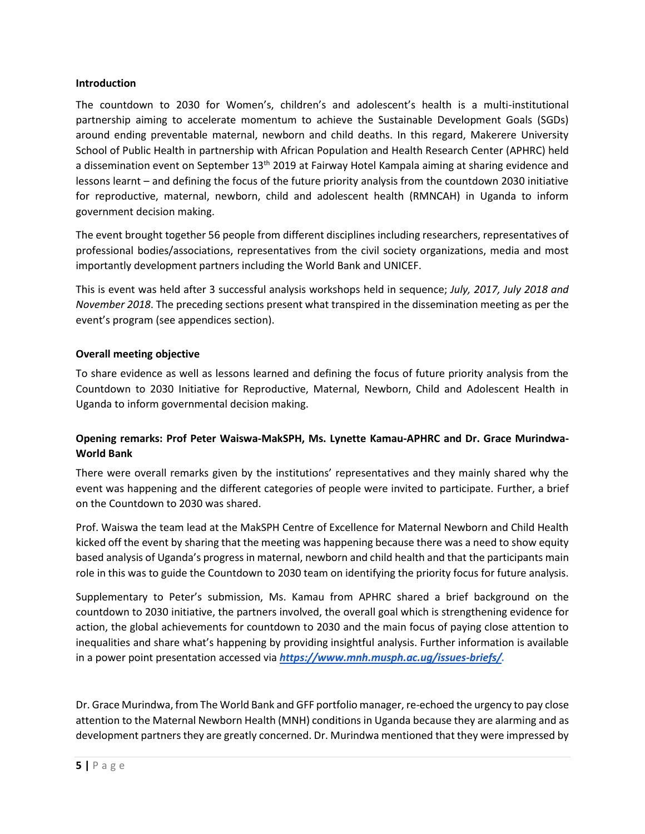#### <span id="page-4-0"></span>**Introduction**

The countdown to 2030 for Women's, children's and adolescent's health is a multi-institutional partnership aiming to accelerate momentum to achieve the Sustainable Development Goals (SGDs) around ending preventable maternal, newborn and child deaths. In this regard, Makerere University School of Public Health in partnership with African Population and Health Research Center (APHRC) held a dissemination event on September 13<sup>th</sup> 2019 at Fairway Hotel Kampala aiming at sharing evidence and lessons learnt – and defining the focus of the future priority analysis from the countdown 2030 initiative for reproductive, maternal, newborn, child and adolescent health (RMNCAH) in Uganda to inform government decision making.

The event brought together 56 people from different disciplines including researchers, representatives of professional bodies/associations, representatives from the civil society organizations, media and most importantly development partners including the World Bank and UNICEF.

This is event was held after 3 successful analysis workshops held in sequence; *July, 2017, July 2018 and November 2018*. The preceding sections present what transpired in the dissemination meeting as per the event's program (see appendices section).

## <span id="page-4-1"></span>**Overall meeting objective**

To share evidence as well as lessons learned and defining the focus of future priority analysis from the Countdown to 2030 Initiative for Reproductive, Maternal, Newborn, Child and Adolescent Health in Uganda to inform governmental decision making.

# <span id="page-4-2"></span>**Opening remarks: Prof Peter Waiswa-MakSPH, Ms. Lynette Kamau-APHRC and Dr. Grace Murindwa-World Bank**

There were overall remarks given by the institutions' representatives and they mainly shared why the event was happening and the different categories of people were invited to participate. Further, a brief on the Countdown to 2030 was shared.

Prof. Waiswa the team lead at the MakSPH Centre of Excellence for Maternal Newborn and Child Health kicked off the event by sharing that the meeting was happening because there was a need to show equity based analysis of Uganda's progress in maternal, newborn and child health and that the participants main role in this was to guide the Countdown to 2030 team on identifying the priority focus for future analysis.

Supplementary to Peter's submission, Ms. Kamau from APHRC shared a brief background on the countdown to 2030 initiative, the partners involved, the overall goal which is strengthening evidence for action, the global achievements for countdown to 2030 and the main focus of paying close attention to inequalities and share what's happening by providing insightful analysis. Further information is available in a power point presentation accessed via *[https://www.mnh.musph.ac.ug/issues-briefs/.](https://www.mnh.musph.ac.ug/issues-briefs/)*

Dr. Grace Murindwa, from The World Bank and GFF portfolio manager, re-echoed the urgency to pay close attention to the Maternal Newborn Health (MNH) conditions in Uganda because they are alarming and as development partners they are greatly concerned. Dr. Murindwa mentioned that they were impressed by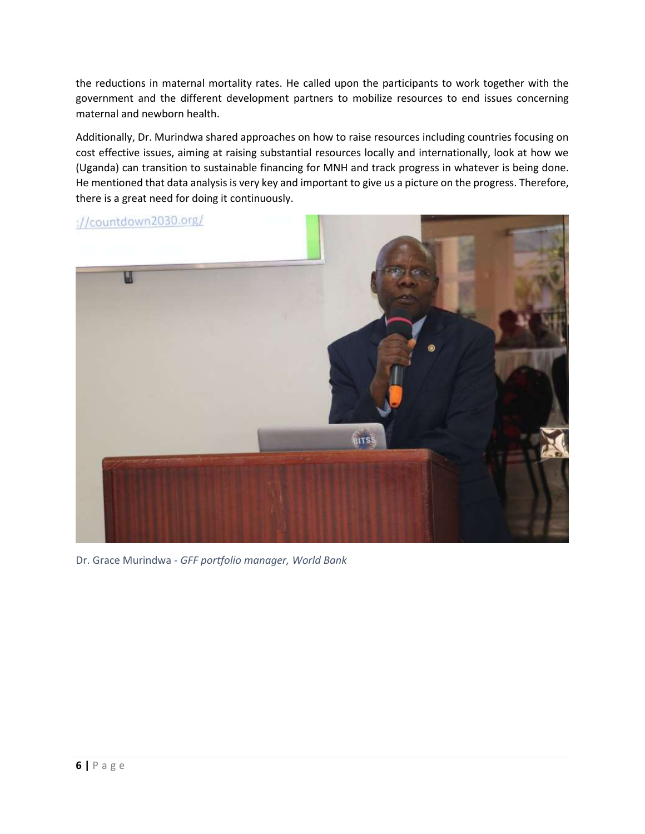the reductions in maternal mortality rates. He called upon the participants to work together with the government and the different development partners to mobilize resources to end issues concerning maternal and newborn health.

Additionally, Dr. Murindwa shared approaches on how to raise resources including countries focusing on cost effective issues, aiming at raising substantial resources locally and internationally, look at how we (Uganda) can transition to sustainable financing for MNH and track progress in whatever is being done. He mentioned that data analysis is very key and important to give us a picture on the progress. Therefore, there is a great need for doing it continuously.



Dr. Grace Murindwa - *GFF portfolio manager, World Bank*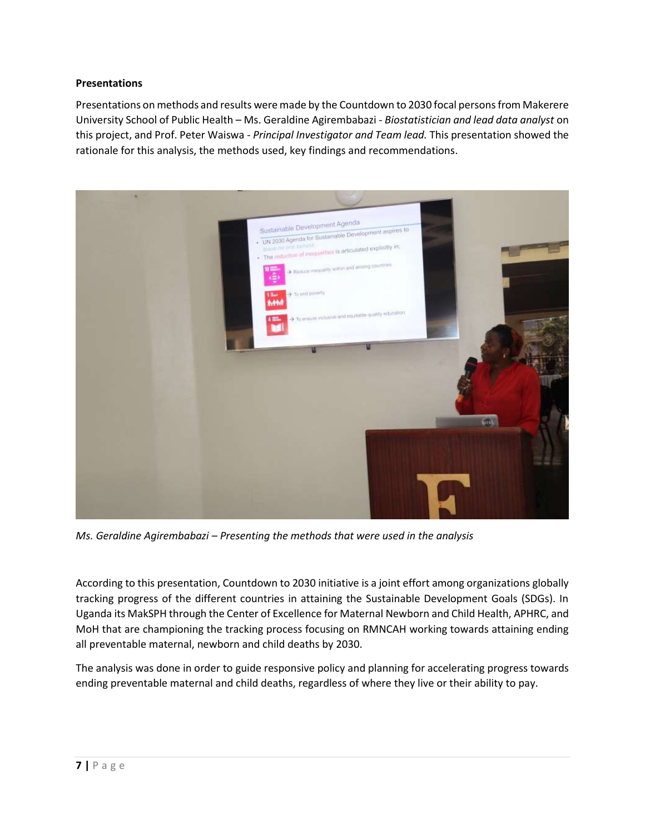# <span id="page-6-0"></span>**Presentations**

Presentations on methods and results were made by the Countdown to 2030 focal persons from Makerere University School of Public Health – Ms. Geraldine Agirembabazi - *Biostatistician and lead data analyst* on this project, and Prof. Peter Waiswa - *Principal Investigator and Team lead.* This presentation showed the rationale for this analysis, the methods used, key findings and recommendations.



*Ms. Geraldine Agirembabazi – Presenting the methods that were used in the analysis*

According to this presentation, Countdown to 2030 initiative is a joint effort among organizations globally tracking progress of the different countries in attaining the Sustainable Development Goals (SDGs). In Uganda its MakSPH through the Center of Excellence for Maternal Newborn and Child Health, APHRC, and MoH that are championing the tracking process focusing on RMNCAH working towards attaining ending all preventable maternal, newborn and child deaths by 2030.

The analysis was done in order to guide responsive policy and planning for accelerating progress towards ending preventable maternal and child deaths, regardless of where they live or their ability to pay.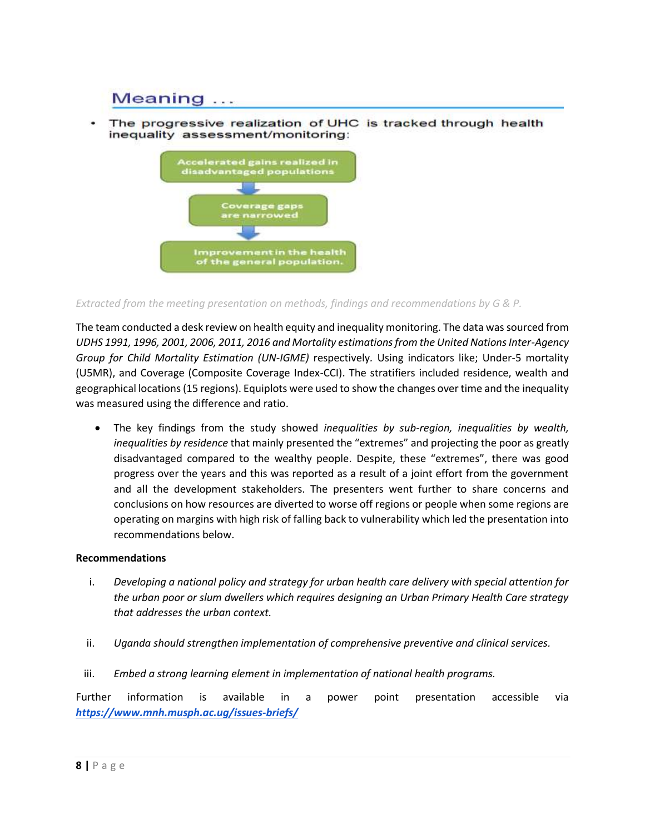# Meaning ...

The progressive realization of UHC is tracked through health inequality assessment/monitoring:



*Extracted from the meeting presentation on methods, findings and recommendations by G & P.*

The team conducted a desk review on health equity and inequality monitoring. The data was sourced from *UDHS 1991, 1996, 2001, 2006, 2011, 2016 and Mortality estimations from the United Nations Inter-Agency Group for Child Mortality Estimation (UN-IGME)* respectively*.* Using indicators like; Under-5 mortality (U5MR), and Coverage (Composite Coverage Index-CCI). The stratifiers included residence, wealth and geographical locations (15 regions). Equiplots were used to show the changes over time and the inequality was measured using the difference and ratio.

• The key findings from the study showed *inequalities by sub-region, inequalities by wealth, inequalities by residence* that mainly presented the "extremes" and projecting the poor as greatly disadvantaged compared to the wealthy people. Despite, these "extremes", there was good progress over the years and this was reported as a result of a joint effort from the government and all the development stakeholders. The presenters went further to share concerns and conclusions on how resources are diverted to worse off regions or people when some regions are operating on margins with high risk of falling back to vulnerability which led the presentation into recommendations below.

## **Recommendations**

- i. *Developing a national policy and strategy for urban health care delivery with special attention for the urban poor or slum dwellers which requires designing an Urban Primary Health Care strategy that addresses the urban context.*
- ii. *Uganda should strengthen implementation of comprehensive preventive and clinical services.*
- iii. *Embed a strong learning element in implementation of national health programs.*

Further information is available in a power point presentation accessible via *<https://www.mnh.musph.ac.ug/issues-briefs/>*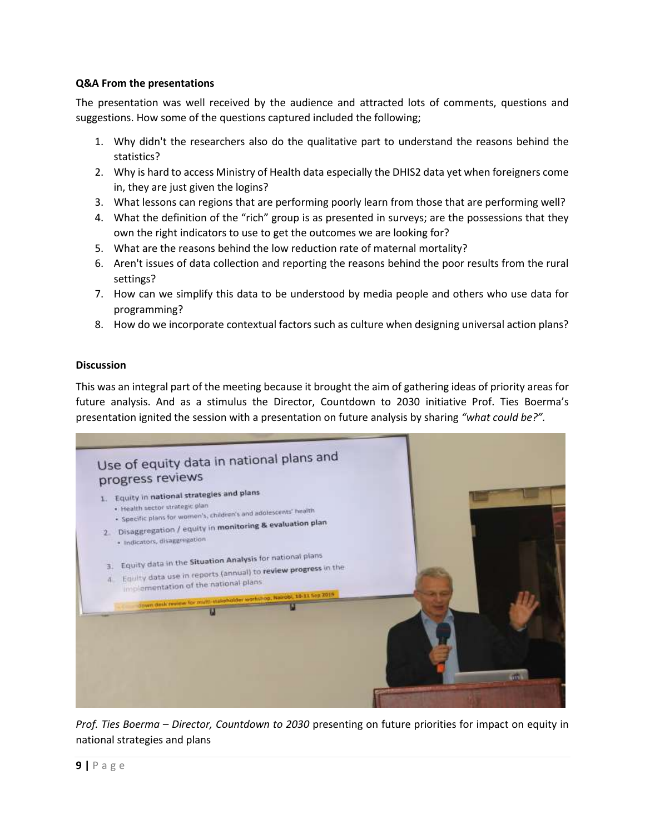# <span id="page-8-0"></span>**Q&A From the presentations**

The presentation was well received by the audience and attracted lots of comments, questions and suggestions. How some of the questions captured included the following;

- 1. Why didn't the researchers also do the qualitative part to understand the reasons behind the statistics?
- 2. Why is hard to access Ministry of Health data especially the DHIS2 data yet when foreigners come in, they are just given the logins?
- 3. What lessons can regions that are performing poorly learn from those that are performing well?
- 4. What the definition of the "rich" group is as presented in surveys; are the possessions that they own the right indicators to use to get the outcomes we are looking for?
- 5. What are the reasons behind the low reduction rate of maternal mortality?
- 6. Aren't issues of data collection and reporting the reasons behind the poor results from the rural settings?
- 7. How can we simplify this data to be understood by media people and others who use data for programming?
- 8. How do we incorporate contextual factors such as culture when designing universal action plans?

# <span id="page-8-1"></span>**Discussion**

This was an integral part of the meeting because it brought the aim of gathering ideas of priority areas for future analysis. And as a stimulus the Director, Countdown to 2030 initiative Prof. Ties Boerma's presentation ignited the session with a presentation on future analysis by sharing *"what could be?".*



*Prof. Ties Boerma – Director, Countdown to 2030* presenting on future priorities for impact on equity in national strategies and plans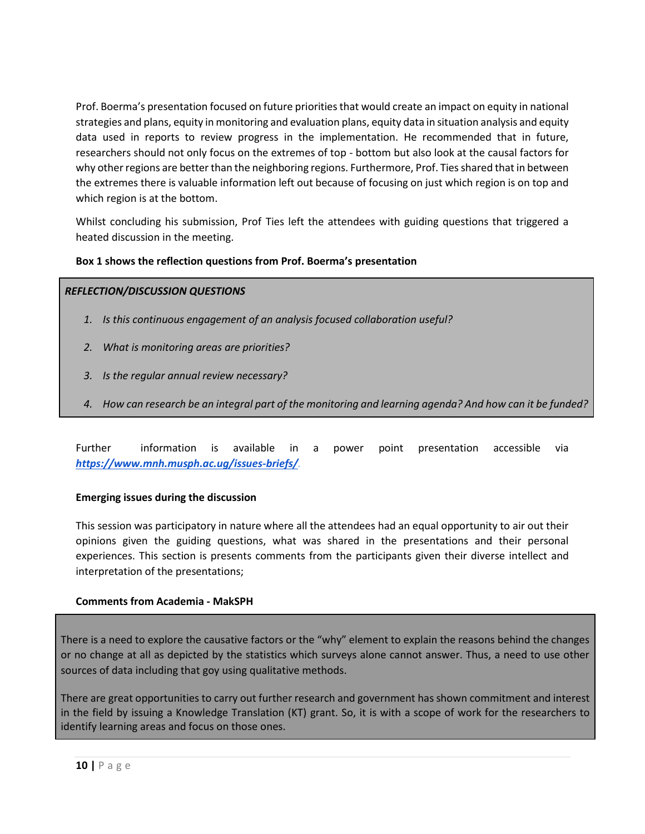Prof. Boerma's presentation focused on future priorities that would create an impact on equity in national strategies and plans, equity in monitoring and evaluation plans, equity data in situation analysis and equity data used in reports to review progress in the implementation. He recommended that in future, researchers should not only focus on the extremes of top - bottom but also look at the causal factors for why other regions are better than the neighboring regions. Furthermore, Prof. Ties shared that in between the extremes there is valuable information left out because of focusing on just which region is on top and which region is at the bottom.

Whilst concluding his submission, Prof Ties left the attendees with guiding questions that triggered a heated discussion in the meeting.

# **Box 1 shows the reflection questions from Prof. Boerma's presentation**

# *REFLECTION/DISCUSSION QUESTIONS*

- *1. Is this continuous engagement of an analysis focused collaboration useful?*
- *2. What is monitoring areas are priorities?*
- *3. Is the regular annual review necessary?*
- *4. How can research be an integral part of the monitoring and learning agenda? And how can it be funded?*

Further information is available in a power point presentation accessible via *<https://www.mnh.musph.ac.ug/issues-briefs/>.*

## <span id="page-9-0"></span>**Emerging issues during the discussion**

This session was participatory in nature where all the attendees had an equal opportunity to air out their opinions given the guiding questions, what was shared in the presentations and their personal experiences. This section is presents comments from the participants given their diverse intellect and interpretation of the presentations;

## <span id="page-9-1"></span>**Comments from Academia - MakSPH**

There is a need to explore the causative factors or the "why" element to explain the reasons behind the changes or no change at all as depicted by the statistics which surveys alone cannot answer. Thus, a need to use other sources of data including that goy using qualitative methods.

There are great opportunities to carry out further research and government has shown commitment and interest in the field by issuing a Knowledge Translation (KT) grant. So, it is with a scope of work for the researchers to identify learning areas and focus on those ones.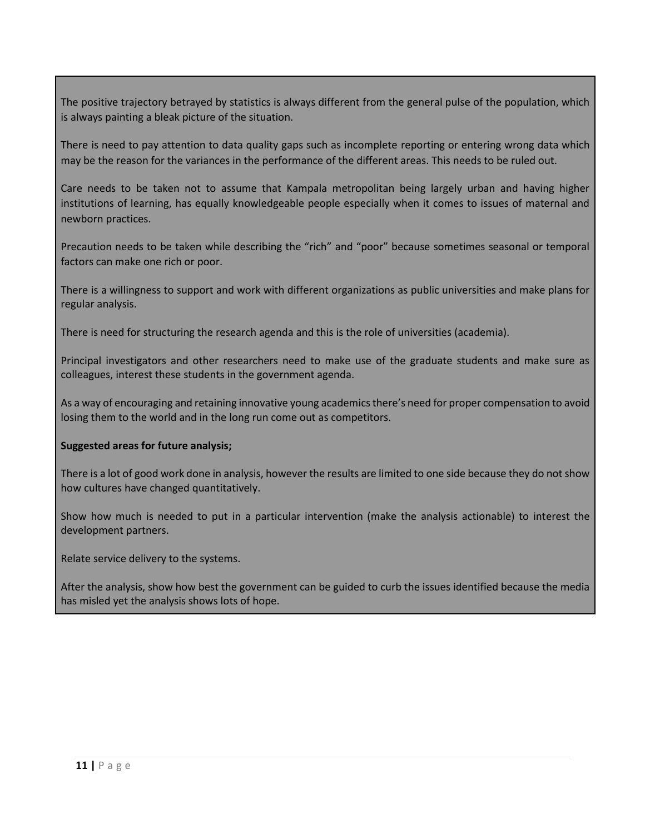The positive trajectory betrayed by statistics is always different from the general pulse of the population, which is always painting a bleak picture of the situation.

There is need to pay attention to data quality gaps such as incomplete reporting or entering wrong data which may be the reason for the variances in the performance of the different areas. This needs to be ruled out.

Care needs to be taken not to assume that Kampala metropolitan being largely urban and having higher institutions of learning, has equally knowledgeable people especially when it comes to issues of maternal and newborn practices.

Precaution needs to be taken while describing the "rich" and "poor" because sometimes seasonal or temporal factors can make one rich or poor.

There is a willingness to support and work with different organizations as public universities and make plans for regular analysis.

There is need for structuring the research agenda and this is the role of universities (academia).

Principal investigators and other researchers need to make use of the graduate students and make sure as colleagues, interest these students in the government agenda.

As a way of encouraging and retaining innovative young academics there's need for proper compensation to avoid losing them to the world and in the long run come out as competitors.

# **Suggested areas for future analysis;**

There is a lot of good work done in analysis, however the results are limited to one side because they do not show how cultures have changed quantitatively.

Show how much is needed to put in a particular intervention (make the analysis actionable) to interest the development partners.

Relate service delivery to the systems.

After the analysis, show how best the government can be guided to curb the issues identified because the media has misled yet the analysis shows lots of hope.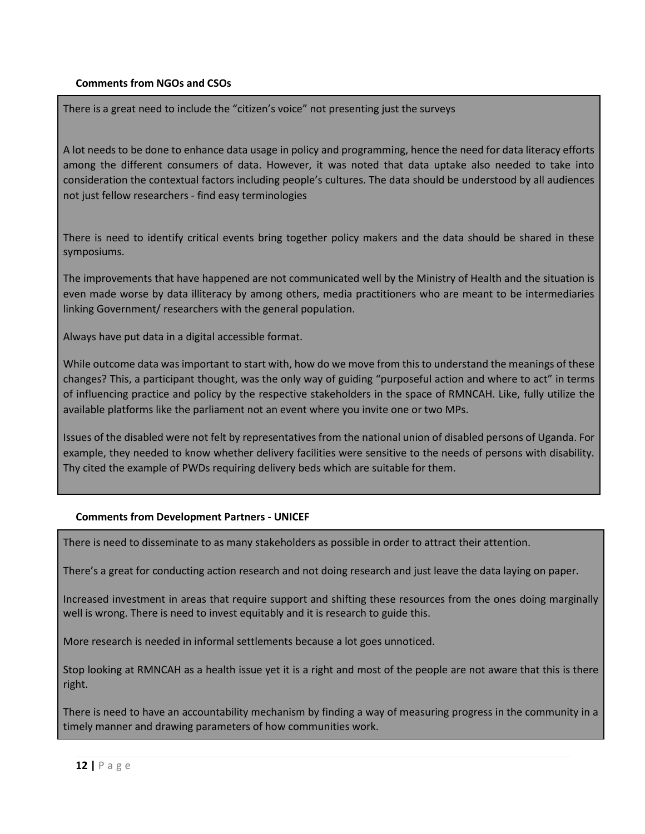# <span id="page-11-0"></span>**Comments from NGOs and CSOs**

There is a great need to include the "citizen's voice" not presenting just the surveys

A lot needs to be done to enhance data usage in policy and programming, hence the need for data literacy efforts among the different consumers of data. However, it was noted that data uptake also needed to take into consideration the contextual factors including people's cultures. The data should be understood by all audiences not just fellow researchers - find easy terminologies

There is need to identify critical events bring together policy makers and the data should be shared in these symposiums.

The improvements that have happened are not communicated well by the Ministry of Health and the situation is even made worse by data illiteracy by among others, media practitioners who are meant to be intermediaries linking Government/ researchers with the general population.

Always have put data in a digital accessible format.

While outcome data was important to start with, how do we move from this to understand the meanings of these changes? This, a participant thought, was the only way of guiding "purposeful action and where to act" in terms of influencing practice and policy by the respective stakeholders in the space of RMNCAH. Like, fully utilize the available platforms like the parliament not an event where you invite one or two MPs.

Issues of the disabled were not felt by representatives from the national union of disabled persons of Uganda. For example, they needed to know whether delivery facilities were sensitive to the needs of persons with disability. Thy cited the example of PWDs requiring delivery beds which are suitable for them.

## <span id="page-11-1"></span>**Comments from Development Partners - UNICEF**

There is need to disseminate to as many stakeholders as possible in order to attract their attention.

There's a great for conducting action research and not doing research and just leave the data laying on paper.

Increased investment in areas that require support and shifting these resources from the ones doing marginally well is wrong. There is need to invest equitably and it is research to guide this.

More research is needed in informal settlements because a lot goes unnoticed.

Stop looking at RMNCAH as a health issue yet it is a right and most of the people are not aware that this is there right.

There is need to have an accountability mechanism by finding a way of measuring progress in the community in a timely manner and drawing parameters of how communities work.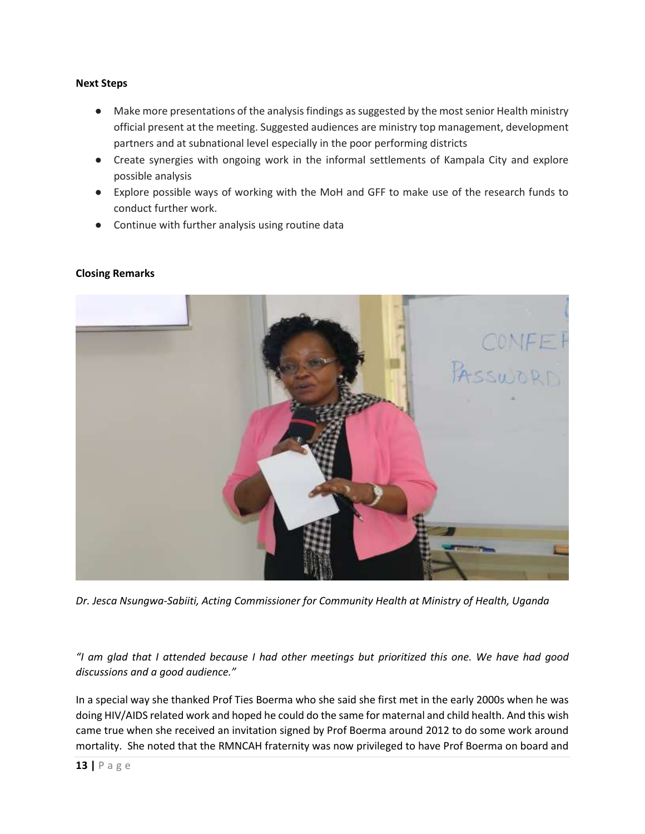#### <span id="page-12-0"></span>**Next Steps**

- Make more presentations of the analysis findings as suggested by the most senior Health ministry official present at the meeting. Suggested audiences are ministry top management, development partners and at subnational level especially in the poor performing districts
- Create synergies with ongoing work in the informal settlements of Kampala City and explore possible analysis
- Explore possible ways of working with the MoH and GFF to make use of the research funds to conduct further work.
- Continue with further analysis using routine data



# **Closing Remarks**

*Dr. Jesca Nsungwa-Sabiiti, Acting Commissioner for Community Health at Ministry of Health, Uganda*

*"I am glad that I attended because I had other meetings but prioritized this one. We have had good discussions and a good audience."*

In a special way she thanked Prof Ties Boerma who she said she first met in the early 2000s when he was doing HIV/AIDS related work and hoped he could do the same for maternal and child health. And this wish came true when she received an invitation signed by Prof Boerma around 2012 to do some work around mortality. She noted that the RMNCAH fraternity was now privileged to have Prof Boerma on board and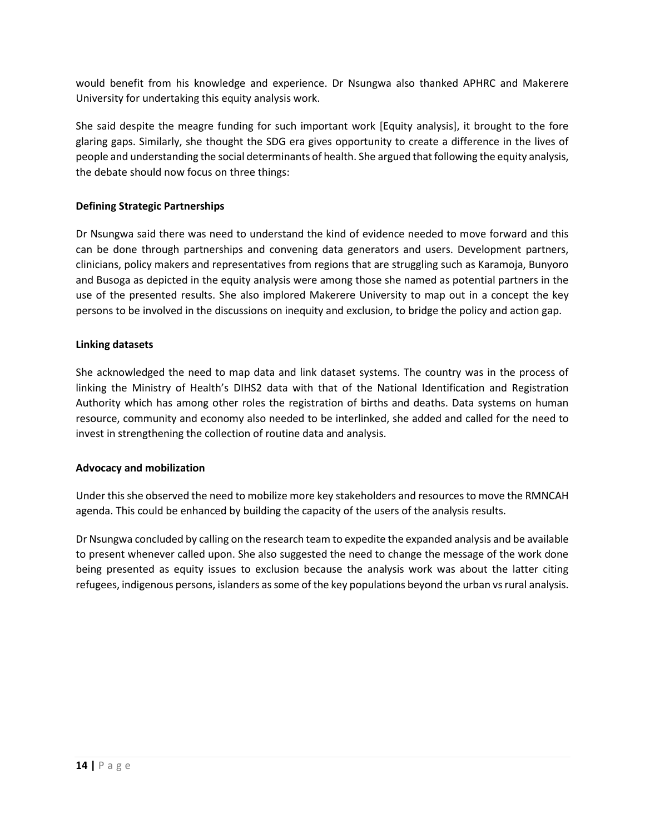would benefit from his knowledge and experience. Dr Nsungwa also thanked APHRC and Makerere University for undertaking this equity analysis work.

She said despite the meagre funding for such important work [Equity analysis], it brought to the fore glaring gaps. Similarly, she thought the SDG era gives opportunity to create a difference in the lives of people and understanding the social determinants of health. She argued that following the equity analysis, the debate should now focus on three things:

# <span id="page-13-0"></span>**Defining Strategic Partnerships**

Dr Nsungwa said there was need to understand the kind of evidence needed to move forward and this can be done through partnerships and convening data generators and users. Development partners, clinicians, policy makers and representatives from regions that are struggling such as Karamoja, Bunyoro and Busoga as depicted in the equity analysis were among those she named as potential partners in the use of the presented results. She also implored Makerere University to map out in a concept the key persons to be involved in the discussions on inequity and exclusion, to bridge the policy and action gap.

# <span id="page-13-1"></span>**Linking datasets**

She acknowledged the need to map data and link dataset systems. The country was in the process of linking the Ministry of Health's DIHS2 data with that of the National Identification and Registration Authority which has among other roles the registration of births and deaths. Data systems on human resource, community and economy also needed to be interlinked, she added and called for the need to invest in strengthening the collection of routine data and analysis.

## <span id="page-13-2"></span>**Advocacy and mobilization**

Under this she observed the need to mobilize more key stakeholders and resources to move the RMNCAH agenda. This could be enhanced by building the capacity of the users of the analysis results.

Dr Nsungwa concluded by calling on the research team to expedite the expanded analysis and be available to present whenever called upon. She also suggested the need to change the message of the work done being presented as equity issues to exclusion because the analysis work was about the latter citing refugees, indigenous persons, islanders as some of the key populations beyond the urban vs rural analysis.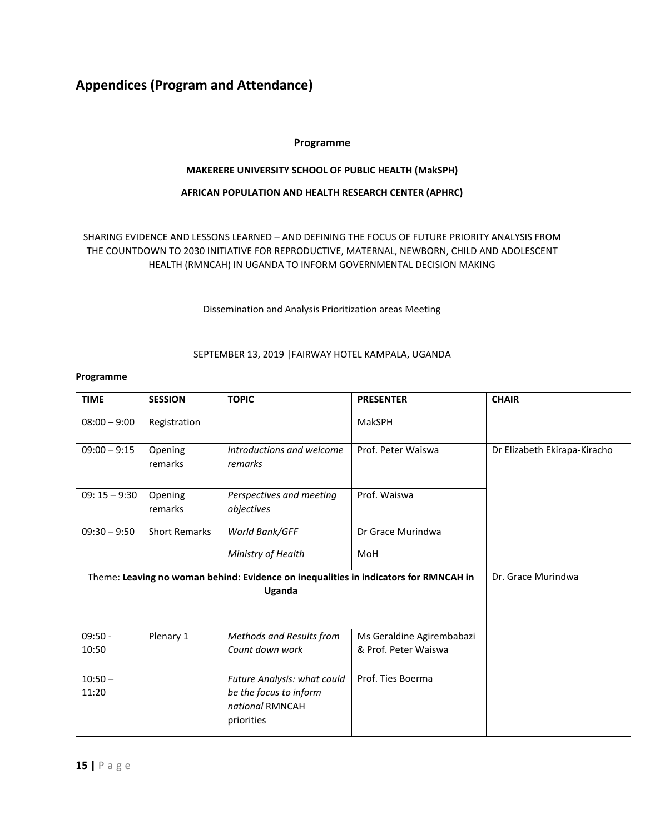# <span id="page-14-0"></span>**Appendices (Program and Attendance)**

# **Programme**

#### **MAKERERE UNIVERSITY SCHOOL OF PUBLIC HEALTH (MakSPH)**

#### **AFRICAN POPULATION AND HEALTH RESEARCH CENTER (APHRC)**

# SHARING EVIDENCE AND LESSONS LEARNED – AND DEFINING THE FOCUS OF FUTURE PRIORITY ANALYSIS FROM THE COUNTDOWN TO 2030 INITIATIVE FOR REPRODUCTIVE, MATERNAL, NEWBORN, CHILD AND ADOLESCENT HEALTH (RMNCAH) IN UGANDA TO INFORM GOVERNMENTAL DECISION MAKING

#### Dissemination and Analysis Prioritization areas Meeting

#### SEPTEMBER 13, 2019 |FAIRWAY HOTEL KAMPALA, UGANDA

#### **Programme**

| <b>TIME</b>        | <b>SESSION</b>                                                                       | <b>TOPIC</b>                                                                           | <b>PRESENTER</b>                                  | <b>CHAIR</b>                 |
|--------------------|--------------------------------------------------------------------------------------|----------------------------------------------------------------------------------------|---------------------------------------------------|------------------------------|
| $08:00 - 9:00$     | Registration                                                                         |                                                                                        | <b>MakSPH</b>                                     |                              |
| $09:00 - 9:15$     | Opening<br>remarks                                                                   | Introductions and welcome<br>remarks                                                   | Prof. Peter Waiswa                                | Dr Elizabeth Ekirapa-Kiracho |
| $09:15 - 9:30$     | Opening<br>remarks                                                                   | Perspectives and meeting<br>objectives                                                 | Prof. Waiswa                                      |                              |
| $09:30 - 9:50$     | <b>Short Remarks</b>                                                                 | World Bank/GFF                                                                         | Dr Grace Murindwa                                 |                              |
|                    |                                                                                      | Ministry of Health                                                                     | MoH                                               |                              |
|                    | Theme: Leaving no woman behind: Evidence on inequalities in indicators for RMNCAH in | Dr. Grace Murindwa                                                                     |                                                   |                              |
| $09:50 -$<br>10:50 | Plenary 1                                                                            | Methods and Results from<br>Count down work                                            | Ms Geraldine Agirembabazi<br>& Prof. Peter Waiswa |                              |
| $10:50 -$<br>11:20 |                                                                                      | Future Analysis: what could<br>be the focus to inform<br>national RMNCAH<br>priorities | Prof. Ties Boerma                                 |                              |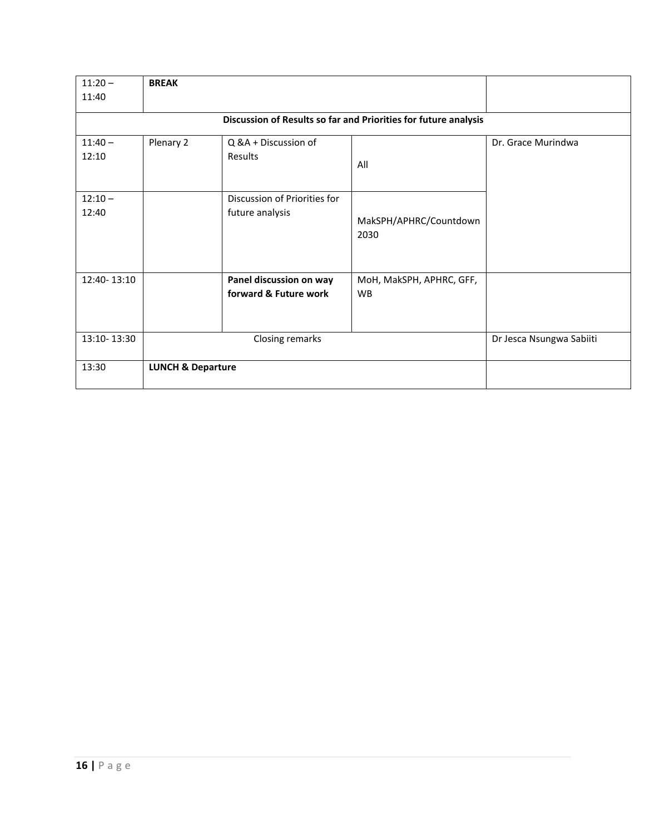| $11:20 -$   | <b>BREAK</b>                                                    |                              |                          |                          |  |
|-------------|-----------------------------------------------------------------|------------------------------|--------------------------|--------------------------|--|
| 11:40       |                                                                 |                              |                          |                          |  |
|             | Discussion of Results so far and Priorities for future analysis |                              |                          |                          |  |
| $11:40 -$   | Plenary 2                                                       | Q &A + Discussion of         |                          | Dr. Grace Murindwa       |  |
| 12:10       |                                                                 | Results                      | All                      |                          |  |
|             |                                                                 |                              |                          |                          |  |
| $12:10 -$   |                                                                 | Discussion of Priorities for |                          |                          |  |
| 12:40       |                                                                 | future analysis              | MakSPH/APHRC/Countdown   |                          |  |
|             |                                                                 |                              | 2030                     |                          |  |
|             |                                                                 |                              |                          |                          |  |
| 12:40-13:10 |                                                                 | Panel discussion on way      | MoH, MakSPH, APHRC, GFF, |                          |  |
|             |                                                                 | forward & Future work        | <b>WB</b>                |                          |  |
|             |                                                                 |                              |                          |                          |  |
| 13:10-13:30 | Closing remarks                                                 |                              |                          | Dr Jesca Nsungwa Sabiiti |  |
| 13:30       | <b>LUNCH &amp; Departure</b>                                    |                              |                          |                          |  |
|             |                                                                 |                              |                          |                          |  |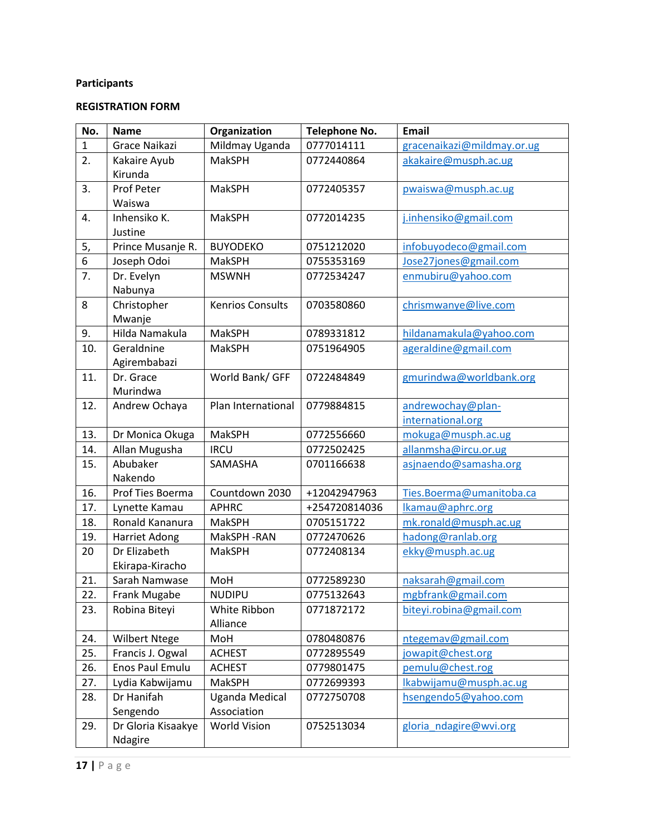# **Participants**

# **REGISTRATION FORM**

| No.          | <b>Name</b>            | Organization            | <b>Telephone No.</b> | <b>Email</b>               |
|--------------|------------------------|-------------------------|----------------------|----------------------------|
| $\mathbf{1}$ | Grace Naikazi          | Mildmay Uganda          | 0777014111           | gracenaikazi@mildmay.or.ug |
| 2.           | Kakaire Ayub           | <b>MakSPH</b>           | 0772440864           | akakaire@musph.ac.ug       |
|              | Kirunda                |                         |                      |                            |
| 3.           | Prof Peter             | <b>MakSPH</b>           | 0772405357           | pwaiswa@musph.ac.ug        |
|              | Waiswa                 |                         |                      |                            |
| 4.           | Inhensiko K.           | MakSPH                  | 0772014235           | j.inhensiko@gmail.com      |
|              | Justine                |                         |                      |                            |
| 5,           | Prince Musanje R.      | <b>BUYODEKO</b>         | 0751212020           | infobuyodeco@gmail.com     |
| 6            | Joseph Odoi            | MakSPH                  | 0755353169           | Jose27jones@gmail.com      |
| 7.           | Dr. Evelyn             | <b>MSWNH</b>            | 0772534247           | enmubiru@yahoo.com         |
|              | Nabunya                |                         |                      |                            |
| 8            | Christopher            | <b>Kenrios Consults</b> | 0703580860           | chrismwanye@live.com       |
|              | Mwanje                 |                         |                      |                            |
| 9.           | Hilda Namakula         | <b>MakSPH</b>           | 0789331812           | hildanamakula@yahoo.com    |
| 10.          | Geraldnine             | MakSPH                  | 0751964905           | ageraldine@gmail.com       |
|              | Agirembabazi           |                         |                      |                            |
| 11.          | Dr. Grace              | World Bank/ GFF         | 0722484849           | gmurindwa@worldbank.org    |
|              | Murindwa               |                         |                      |                            |
| 12.          | Andrew Ochaya          | Plan International      | 0779884815           | andrewochay@plan-          |
|              |                        |                         |                      | international.org          |
| 13.          | Dr Monica Okuga        | MakSPH                  | 0772556660           | mokuga@musph.ac.ug         |
| 14.          | Allan Mugusha          | <b>IRCU</b>             | 0772502425           | allanmsha@ircu.or.ug       |
| 15.          | Abubaker               | SAMASHA                 | 0701166638           | asjnaendo@samasha.org      |
|              | Nakendo                |                         |                      |                            |
| 16.          | Prof Ties Boerma       | Countdown 2030          | +12042947963         | Ties.Boerma@umanitoba.ca   |
| 17.          | Lynette Kamau          | <b>APHRC</b>            | +254720814036        | lkamau@aphrc.org           |
| 18.          | Ronald Kananura        | MakSPH                  | 0705151722           | mk.ronald@musph.ac.ug      |
| 19.          | Harriet Adong          | MakSPH-RAN              | 0772470626           | hadong@ranlab.org          |
| 20           | Dr Elizabeth           | <b>MakSPH</b>           | 0772408134           | ekky@musph.ac.ug           |
|              | Ekirapa-Kiracho        |                         |                      |                            |
| 21.          | Sarah Namwase          | MoH                     | 0772589230           | naksarah@gmail.com         |
| 22.          | Frank Mugabe           | <b>NUDIPU</b>           | 0775132643           | mgbfrank@gmail.com         |
| 23.          | Robina Biteyi          | White Ribbon            | 0771872172           | biteyi.robina@gmail.com    |
|              |                        | Alliance                |                      |                            |
| 24.          | <b>Wilbert Ntege</b>   | MoH                     | 0780480876           | ntegemav@gmail.com         |
| 25.          | Francis J. Ogwal       | <b>ACHEST</b>           | 0772895549           | jowapit@chest.org          |
| 26.          | <b>Enos Paul Emulu</b> | <b>ACHEST</b>           | 0779801475           | pemulu@chest.rog           |
| 27.          | Lydia Kabwijamu        | MakSPH                  | 0772699393           | Ikabwijamu@musph.ac.ug     |
| 28.          | Dr Hanifah             | <b>Uganda Medical</b>   | 0772750708           | hsengendo5@yahoo.com       |
|              | Sengendo               | Association             |                      |                            |
| 29.          | Dr Gloria Kisaakye     | <b>World Vision</b>     | 0752513034           | gloria ndagire@wvi.org     |
|              | Ndagire                |                         |                      |                            |